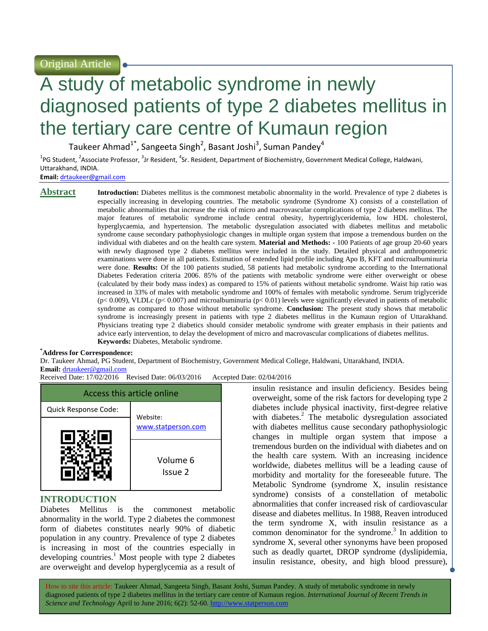Original Article

# A study of metabolic syndrome in newly diagnosed patients of type 2 diabetes mellitus in the tertiary care centre of Kumaun region

Taukeer Ahmad<sup>1\*</sup>, Sangeeta Singh<sup>2</sup>, Basant Joshi<sup>3</sup>, Suman Pandey<sup>4</sup>

<sup>1</sup>PG Student, <sup>2</sup>Associate Professor, <sup>3</sup>Jr Resident, <sup>4</sup>Sr. Resident, Department of Biochemistry, Government Medical College, Haldwani, Uttarakhand, INDIA.

**Email:** <drtaukeer@gmail.com>

**Abstract Introduction:** Diabetes mellitus is the commonest metabolic abnormality in the world. Prevalence of type 2 diabetes is especially increasing in developing countries. The metabolic syndrome (Syndrome X) consists of a constellation of metabolic abnormalities that increase the risk of micro and macrovascular complications of type 2 diabetes mellitus. The major features of metabolic syndrome include central obesity, hypertriglyceridemia, low HDL cholesterol, hyperglycaemia, and hypertension. The metabolic dysregulation associated with diabetes mellitus and metabolic syndrome cause secondary pathophysiologic changes in multiple organ system that impose a tremendous burden on the individual with diabetes and on the health care system. **Material and Methods: -** 100 Patients of age group 20-60 years with newly diagnosed type 2 diabetes mellitus were included in the study. Detailed physical and anthropometric examinations were done in all patients. Estimation of extended lipid profile including Apo B, KFT and microalbuminuria were done. **Results:** Of the 100 patients studied, 58 patients had metabolic syndrome according to the International Diabetes Federation criteria 2006. 85% of the patients with metabolic syndrome were either overweight or obese (calculated by their body mass index) as compared to 15% of patients without metabolic syndrome. Waist hip ratio was increased in 33% of males with metabolic syndrome and 100% of females with metabolic syndrome. Serum triglyceride  $(p< 0.009)$ , VLDLc  $(p< 0.007)$  and microalbuminuria  $(p< 0.01)$  levels were significantly elevated in patients of metabolic syndrome as compared to those without metabolic syndrome. **Conclusion:** The present study shows that metabolic syndrome is increasingly present in patients with type 2 diabetes mellitus in the Kumaun region of Uttarakhand. Physicians treating type 2 diabetics should consider metabolic syndrome with greater emphasis in their patients and advice early intervention, to delay the development of micro and macrovascular complications of diabetes mellitus. **Keywords:** Diabetes, Metabolic syndrome.

#### **\*Address for Correspondence:**

Dr. Taukeer Ahmad, PG Student, Department of Biochemistry, Government Medical College, Haldwani, Uttarakhand, INDIA. **Email:** <drtaukeer@gmail.com>

Received Date: 17/02/2016 Revised Date: 06/03/2016 Accepted Date: 02/04/2016

| Access this article online |                     |  |  |  |  |
|----------------------------|---------------------|--|--|--|--|
| Quick Response Code:       | Website:            |  |  |  |  |
|                            | www.statperson.com  |  |  |  |  |
|                            | Volume 6<br>Issue 2 |  |  |  |  |

## **INTRODUCTION**

Diabetes Mellitus is the commonest metabolic abnormality in the world. Type 2 diabetes the commonest form of diabetes constitutes nearly 90% of diabetic population in any country. Prevalence of type 2 diabetes is increasing in most of the countries especially in developing countries.<sup>1</sup> Most people with type 2 diabetes are overweight and develop hyperglycemia as a result of insulin resistance and insulin deficiency. Besides being overweight, some of the risk factors for developing type 2 diabetes include physical inactivity, first-degree relative with diabetes.<sup>2</sup> The metabolic dysregulation associated with diabetes mellitus cause secondary pathophysiologic changes in multiple organ system that impose a tremendous burden on the individual with diabetes and on the health care system. With an increasing incidence worldwide, diabetes mellitus will be a leading cause of morbidity and mortality for the foreseeable future. The Metabolic Syndrome (syndrome X, insulin resistance syndrome) consists of a constellation of metabolic abnormalities that confer increased risk of cardiovascular disease and diabetes mellitus. In 1988, Reaven introduced the term syndrome X, with insulin resistance as a common denominator for the syndrome.<sup>3</sup> In addition to syndrome X, several other synonyms have been proposed such as deadly quartet, DROP syndrome (dyslipidemia, insulin resistance, obesity, and high blood pressure),

How to site this article: Taukeer Ahmad, Sangeeta Singh, Basant Joshi, Suman Pandey*.* A study of metabolic syndrome in newly diagnosed patients of type 2 diabetes mellitus in the tertiary care centre of Kumaun region. *International Journal of Recent Trends in Science and Technology* April to June 2016; 6(2): 52-60. http://www.statperson.com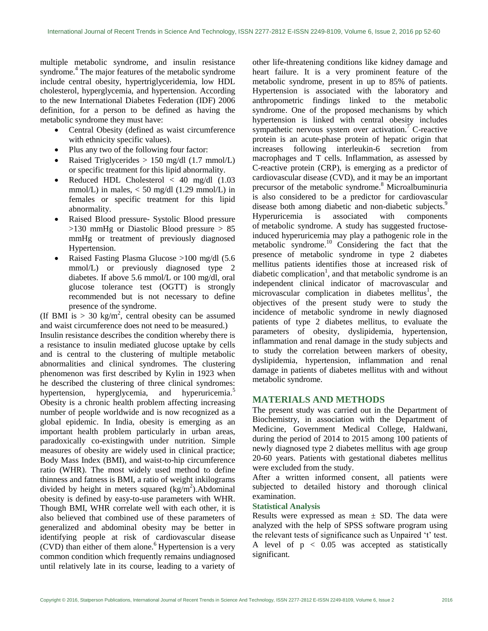multiple metabolic syndrome, and insulin resistance syndrome.<sup>4</sup> The major features of the metabolic syndrome include central obesity, hypertriglyceridemia, low HDL cholesterol, hyperglycemia, and hypertension. According to the new International Diabetes Federation (IDF) 2006 definition, for a person to be defined as having the metabolic syndrome they must have:

- Central Obesity (defined as waist circumference with ethnicity specific values).
- Plus any two of the following four factor:
- Raised Triglycerides  $> 150$  mg/dl (1.7 mmol/L) or specific treatment for this lipid abnormality.
- Reduced HDL Cholesterol  $< 40$  mg/dl  $(1.03$ mmol/L) in males, < 50 mg/dl (1.29 mmol/L) in females or specific treatment for this lipid abnormality.
- Raised Blood pressure- Systolic Blood pressure  $>130$  mmHg or Diastolic Blood pressure  $> 85$ mmHg or treatment of previously diagnosed Hypertension.
- Raised Fasting Plasma Glucose >100 mg/dl (5.6 mmol/L) or previously diagnosed type 2 diabetes. If above 5.6 mmol/L or 100 mg/dl, oral glucose tolerance test (OGTT) is strongly recommended but is not necessary to define presence of the syndrome.

(If BMI is  $> 30 \text{ kg/m}^2$ , central obesity can be assumed and waist circumference does not need to be measured.) Insulin resistance describes the condition whereby there is a resistance to insulin mediated glucose uptake by cells and is central to the clustering of multiple metabolic abnormalities and clinical syndromes. The clustering phenomenon was first described by Kylin in 1923 when he described the clustering of three clinical syndromes: hypertension, hyperglycemia, and hyperuricemia.<sup>5</sup> Obesity is a chronic health problem affecting increasing number of people worldwide and is now recognized as a global epidemic. In India, obesity is emerging as an important health problem particularly in urban areas, paradoxically co-existingwith under nutrition. Simple measures of obesity are widely used in clinical practice; Body Mass Index (BMI), and waist-to-hip circumference ratio (WHR). The most widely used method to define thinness and fatness is BMI, a ratio of weight inkilograms divided by height in meters squared  $(kg/m<sup>2</sup>)$ . Abdominal obesity is defined by easy-to-use parameters with WHR. Though BMI, WHR correlate well with each other, it is also believed that combined use of these parameters of generalized and abdominal obesity may be better in identifying people at risk of cardiovascular disease  $(CVD)$  than either of them alone.<sup>6</sup> Hypertension is a very common condition which frequently remains undiagnosed until relatively late in its course, leading to a variety of other life-threatening conditions like kidney damage and heart failure. It is a very prominent feature of the metabolic syndrome, present in up to 85% of patients. Hypertension is associated with the laboratory and anthropometric findings linked to the metabolic syndrome. One of the proposed mechanisms by which hypertension is linked with central obesity includes sympathetic nervous system over activation.<sup>7</sup> C-reactive protein is an [acute-phase protein](https://en.wikipedia.org/wiki/Acute-phase_protein) of hepatic origin that increases following [interleukin-6](https://en.wikipedia.org/wiki/Interleukin-6) secretion from [macrophages](https://en.wikipedia.org/wiki/Macrophage) and [T cells.](https://en.wikipedia.org/wiki/T_cell) Inflammation, as assessed by C-reactive protein (CRP), is emerging as a predictor of cardiovascular disease (CVD), and it may be an important precursor of the metabolic syndrome.<sup>8</sup> Microalbuminuria is also considered to be a predictor for cardiovascular disease both among diabetic and non-diabetic subjects.<sup>9</sup> Hyperuricemia is associated with components of [metabolic syndrome.](https://en.wikipedia.org/wiki/Metabolic_syndrome) A study has suggested fructoseinduced hyperuricemia may play a pathogenic role in the metabolic syndrome. <sup>10</sup> Considering the fact that the presence of metabolic syndrome in type 2 diabetes mellitus patients identifies those at increased risk of diabetic complication<sup>1</sup>, and that metabolic syndrome is an independent clinical indicator of macrovascular and  $microvascular$  complication in diabetes mellitus<sup>1</sup>, the objectives of the present study were to study the incidence of metabolic syndrome in newly diagnosed patients of type 2 diabetes mellitus, to evaluate the parameters of obesity, dyslipidemia, hypertension, inflammation and renal damage in the study subjects and to study the correlation between markers of obesity, dyslipidemia, hypertension, inflammation and renal damage in patients of diabetes mellitus with and without metabolic syndrome.

### **MATERIALS AND METHODS**

The present study was carried out in the Department of Biochemistry, in association with the Department of Medicine, Government Medical College, Haldwani, during the period of 2014 to 2015 among 100 patients of newly diagnosed type 2 diabetes mellitus with age group 20-60 years. Patients with gestational diabetes mellitus were excluded from the study.

After a written informed consent, all patients were subjected to detailed history and thorough clinical examination.

#### **Statistical Analysis**

Results were expressed as mean  $\pm$  SD. The data were analyzed with the help of SPSS software program using the relevant tests of significance such as Unpaired 't' test. A level of  $p < 0.05$  was accepted as statistically significant.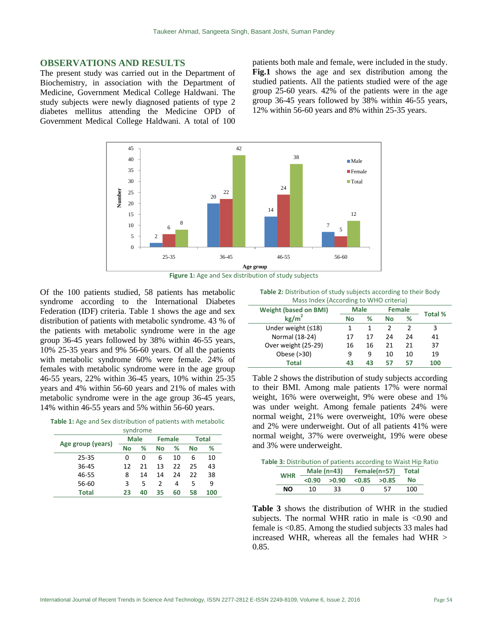#### **OBSERVATIONS AND RESULTS**

The present study was carried out in the Department of Biochemistry, in association with the Department of Medicine, Government Medical College Haldwani. The study subjects were newly diagnosed patients of type 2 diabetes mellitus attending the Medicine OPD of Government Medical College Haldwani. A total of 100

patients both male and female, were included in the study. **Fig.1** shows the age and sex distribution among the studied patients. All the patients studied were of the age group 25-60 years. 42% of the patients were in the age group 36-45 years followed by 38% within 46-55 years, 12% within 56-60 years and 8% within 25-35 years.





 $\overline{a}$ 

Of the 100 patients studied, 58 patients has metabolic syndrome according to the International Diabetes Federation (IDF) criteria. Table 1 shows the age and sex distribution of patients with metabolic syndrome. 43 % of the patients with metabolic syndrome were in the age group 36-45 years followed by 38% within 46-55 years, 10% 25-35 years and 9% 56-60 years. Of all the patients with metabolic syndrome 60% were female. 24% of females with metabolic syndrome were in the age group 46-55 years, 22% within 36-45 years, 10% within 25-35 years and 4% within 56-60 years and 21% of males with metabolic syndrome were in the age group 36-45 years, 14% within 46-55 years and 5% within 56-60 years.

**Table 1:** Age and Sex distribution of patients with metabolic syndrome

|                   |              |             | 3.11 |               |    |    |              |
|-------------------|--------------|-------------|------|---------------|----|----|--------------|
| Age group (years) |              | <b>Male</b> |      | <b>Female</b> |    |    | <b>Total</b> |
|                   |              | No          | %    | No            | ℅  | No | %            |
|                   | 25-35        | 0           | 0    | 6             | 10 | 6  | 10           |
|                   | 36-45        | 12          | 21   | 13            | 22 | 25 | 43           |
|                   | 46-55        | 8           | 14   | 14            | 24 | 22 | 38           |
|                   | 56-60        | 3           | 5    | $\mathcal{P}$ | 4  | 5  | q            |
|                   | <b>Total</b> | 23          | 40   | 35            | 60 | 58 | 100          |

**Table 2:** Distribution of study subjects according to their Body Mass Index (According to WHO criteria)

| <u>IVIASS INCENTACCORUME TO VITTO CHITEITAL</u> |             |    |               |    |         |  |
|-------------------------------------------------|-------------|----|---------------|----|---------|--|
| <b>Weight (based on BMI)</b>                    | <b>Male</b> |    | <b>Female</b> |    |         |  |
| kg/m <sup>2</sup>                               | No          | %  | No            | %  | Total % |  |
| Under weight $(≤18)$                            | 1           |    | 2             |    | 3       |  |
| Normal (18-24)                                  | 17          | 17 | 24            | 24 | 41      |  |
| Over weight (25-29)                             | 16          | 16 | 21            | 21 | 37      |  |
| Obese (>30)                                     | ٩           | 9  | 10            | 10 | 19      |  |
| <b>Total</b>                                    | 43          | 43 | 57            | 57 | 100     |  |

Table 2 shows the distribution of study subjects according to their BMI. Among male patients 17% were normal weight, 16% were overweight, 9% were obese and 1% was under weight. Among female patients 24% were normal weight, 21% were overweight, 10% were obese and 2% were underweight. Out of all patients 41% were normal weight, 37% were overweight, 19% were obese and 3% were underweight.

|            |                                |                                     |          |    | Table 3: Distribution of patients according to Waist Hip Ratio |  |
|------------|--------------------------------|-------------------------------------|----------|----|----------------------------------------------------------------|--|
| <b>WHR</b> | Male (n=43) Female(n=57) Total |                                     |          |    |                                                                |  |
|            |                                | $< 0.90$ $> 0.90$ $< 0.85$ $> 0.85$ |          |    | Nο                                                             |  |
| NΟ         | 10                             | 33                                  | $\Omega$ | 57 | 100                                                            |  |

**Table 3** shows the distribution of WHR in the studied subjects. The normal WHR ratio in male is <0.90 and female is <0.85. Among the studied subjects 33 males had increased WHR, whereas all the females had WHR > 0.85.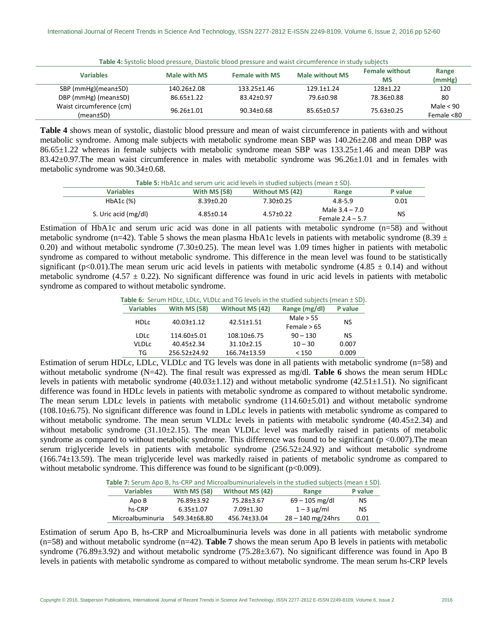|  |  |  | Table 4: Systolic blood pressure, Diastolic blood pressure and waist circumference in study subjects |
|--|--|--|------------------------------------------------------------------------------------------------------|
|--|--|--|------------------------------------------------------------------------------------------------------|

| <b>Variables</b>         | Male with MS      | <b>Female with MS</b> | <b>Male without MS</b> | <b>Female without</b> | Range       |
|--------------------------|-------------------|-----------------------|------------------------|-----------------------|-------------|
|                          |                   |                       |                        | <b>MS</b>             | (mmHg)      |
| SBP (mmHg)(mean±SD)      | $140.26 \pm 2.08$ | 133.25±1.46           | $129.1 \pm 1.24$       | $128 + 1.22$          | 120         |
| DBP (mmHg) (mean±SD)     | $86.65 \pm 1.22$  | 83.42±0.97            | 79.6±0.98              | 78.36±0.88            | 80          |
| Waist circumference (cm) |                   |                       |                        |                       | Male $< 90$ |
| (mean±SD)                | $96.26 \pm 1.01$  | $90.34 \pm 0.68$      | 85.65±0.57             | 75.63±0.25            | Female <80  |

**Table 4** shows mean of systolic, diastolic blood pressure and mean of waist circumference in patients with and without metabolic syndrome. Among male subjects with metabolic syndrome mean SBP was 140.26±2.08 and mean DBP was 86.65±1.22 whereas in female subjects with metabolic syndrome mean SBP was 133.25±1.46 and mean DBP was 83.42±0.97.The mean waist circumference in males with metabolic syndrome was 96.26±1.01 and in females with metabolic syndrome was 90.34±0.68.

**Table 5:** HbA1c and serum uric acid levels in studied subjects (mean ± SD).

| <b>Variables</b>     | <b>With MS (58)</b> | Without MS (42) | Range                                  | P value   |  |  |  |
|----------------------|---------------------|-----------------|----------------------------------------|-----------|--|--|--|
| HbA1c (%)            | $8.39 \pm 0.20$     | 7.30±0.25       | $4.8 - 5.9$                            | 0.01      |  |  |  |
| S. Uric acid (mg/dl) | $4.85 \pm 0.14$     | $4.57 \pm 0.22$ | Male $3.4 - 7.0$<br>Female $2.4 - 5.7$ | <b>NS</b> |  |  |  |

Estimation of HbA1c and serum uric acid was done in all patients with metabolic syndrome (n=58) and without metabolic syndrome (n=42). Table 5 shows the mean plasma HbA1c levels in patients with metabolic syndrome (8.39  $\pm$ 0.20) and without metabolic syndrome  $(7.30\pm0.25)$ . The mean level was 1.09 times higher in patients with metabolic syndrome as compared to without metabolic syndrome. This difference in the mean level was found to be statistically significant (p<0.01). The mean serum uric acid levels in patients with metabolic syndrome (4.85  $\pm$  0.14) and without metabolic syndrome (4.57  $\pm$  0.22). No significant difference was found in uric acid levels in patients with metabolic syndrome as compared to without metabolic syndrome.

**Table 6:** Serum HDLc, LDLc, VLDLc and TG levels in the studied subjects (mean ± SD).

| <b>Variables</b> | <b>With MS (58)</b> | <b>Without MS (42)</b> | Range (mg/dl) | P value |  |
|------------------|---------------------|------------------------|---------------|---------|--|
| <b>HDLC</b>      | $40.03 \pm 1.12$    | $42.51 \pm 1.51$       | Male $> 55$   | NS      |  |
|                  |                     |                        | Female $>65$  |         |  |
| LDL <sub>C</sub> | 114.60±5.01         | $108.10\pm 6.75$       | $90 - 130$    | NS      |  |
| VLDLC            | $40.45 \pm 2.34$    | $31.10 \pm 2.15$       | $10 - 30$     | 0.007   |  |
| TG               | 256.52±24.92        | 166.74±13.59           | < 150         | 0.009   |  |

Estimation of serum HDLc, LDLc, VLDLc and TG levels was done in all patients with metabolic syndrome (n=58) and without metabolic syndrome (N=42). The final result was expressed as mg/dl. **Table 6** shows the mean serum HDLc levels in patients with metabolic syndrome  $(40.03\pm1.12)$  and without metabolic syndrome  $(42.51\pm1.51)$ . No significant difference was found in HDLc levels in patients with metabolic syndrome as compared to without metabolic syndrome. The mean serum LDLc levels in patients with metabolic syndrome (114.60±5.01) and without metabolic syndrome (108.10±6.75). No significant difference was found in LDLc levels in patients with metabolic syndrome as compared to without metabolic syndrome. The mean serum VLDLc levels in patients with metabolic syndrome  $(40.45\pm2.34)$  and without metabolic syndrome (31.10±2.15). The mean VLDLc level was markedly raised in patients of metabolic syndrome as compared to without metabolic syndrome. This difference was found to be significant ( $p < 0.007$ ). The mean serum triglyceride levels in patients with metabolic syndrome  $(256.52\pm 24.92)$  and without metabolic syndrome (166.74±13.59). The mean triglyceride level was markedly raised in patients of metabolic syndrome as compared to without metabolic syndrome. This difference was found to be significant (p<0.009).

**Table 7:** Serum Apo B, hs-CRP and Microalbuminurialevels in the studied subjects (mean ± SD).

| <b>Variables</b> | <b>With MS (58)</b> | Without MS (42) | Range               | P value |
|------------------|---------------------|-----------------|---------------------|---------|
| Apo B            | 76.89±3.92          | 75.28±3.67      | $69 - 105$ mg/dl    | NS      |
| hs-CRP           | $6.35 \pm 1.07$     | $7.09 \pm 1.30$ | $1 - 3 \mu$ g/ml    | NS      |
| Microalbuminuria | 549.34±68.80        | 456.74±33.04    | $28 - 140$ mg/24hrs | 0.01    |

Estimation of serum Apo B, hs-CRP and Microalbuminuria levels was done in all patients with metabolic syndrome (n=58) and without metabolic syndrome (n=42). **Table 7** shows the mean serum Apo B levels in patients with metabolic syndrome (76.89±3.92) and without metabolic syndrome (75.28±3.67). No significant difference was found in Apo B levels in patients with metabolic syndrome as compared to without metabolic syndrome. The mean serum hs-CRP levels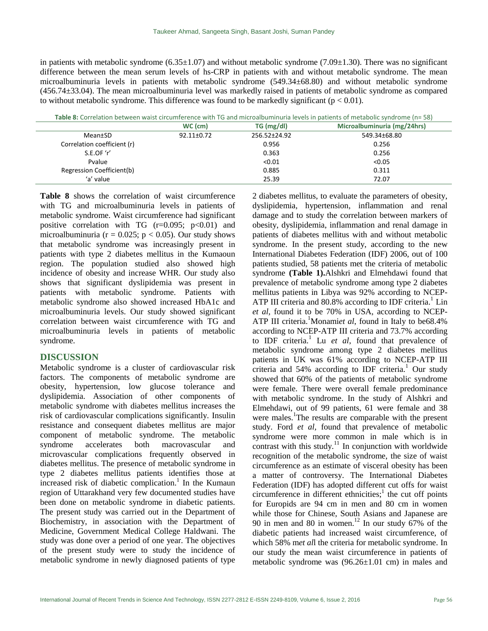in patients with metabolic syndrome (6.35 $\pm$ 1.07) and without metabolic syndrome (7.09 $\pm$ 1.30). There was no significant difference between the mean serum levels of hs-CRP in patients with and without metabolic syndrome. The mean microalbuminuria levels in patients with metabolic syndrome (549.34±68.80) and without metabolic syndrome (456.74±33.04). The mean microalbuminuria level was markedly raised in patients of metabolic syndrome as compared to without metabolic syndrome. This difference was found to be markedly significant ( $p < 0.01$ ).

**Table 8:** Correlation between waist circumference with TG and microalbuminuria levels in patients of metabolic syndrome (n= 58)

|                             | $WC$ (cm)        | TG (mg/dl)         | Microalbuminuria (mg/24hrs) |
|-----------------------------|------------------|--------------------|-----------------------------|
| Mean±SD                     | $92.11 \pm 0.72$ | $256.52 \pm 24.92$ | 549.34±68.80                |
| Correlation coefficient (r) |                  | 0.956              | 0.256                       |
| S.E.OF 'r'                  |                  | 0.363              | 0.256                       |
| Pvalue                      |                  | < 0.01             | < 0.05                      |
| Regression Coefficient(b)   |                  | 0.885              | 0.311                       |
| 'a' value                   |                  | 25.39              | 72.07                       |

**Table 8** shows the correlation of waist circumference with TG and microalbuminuria levels in patients of metabolic syndrome. Waist circumference had significant positive correlation with TG  $(r=0.095; p<0.01)$  and microalbuminuria ( $r = 0.025$ ;  $p < 0.05$ ). Our study shows that metabolic syndrome was increasingly present in patients with type 2 diabetes mellitus in the Kumaoun region. The population studied also showed high incidence of obesity and increase WHR. Our study also shows that significant dyslipidemia was present in patients with metabolic syndrome. Patients with metabolic syndrome also showed increased HbA1c and microalbuminuria levels. Our study showed significant correlation between waist circumference with TG and microalbuminuria levels in patients of metabolic syndrome.

### **DISCUSSION**

Metabolic syndrome is a cluster of cardiovascular risk factors. The components of metabolic syndrome are obesity, hypertension, low glucose tolerance and dyslipidemia. Association of other components of metabolic syndrome with diabetes mellitus increases the risk of cardiovascular complications significantly. Insulin resistance and consequent diabetes mellitus are major component of metabolic syndrome. The metabolic syndrome accelerates both macrovascular and microvascular complications frequently observed in diabetes mellitus. The presence of metabolic syndrome in type 2 diabetes mellitus patients identifies those at increased risk of diabetic complication.<sup>1</sup> In the Kumaun region of Uttarakhand very few documented studies have been done on metabolic syndrome in diabetic patients. The present study was carried out in the Department of Biochemistry, in association with the Department of Medicine, Government Medical College Haldwani. The study was done over a period of one year. The objectives of the present study were to study the incidence of metabolic syndrome in newly diagnosed patients of type

2 diabetes mellitus, to evaluate the parameters of obesity, dyslipidemia, hypertension, inflammation and renal damage and to study the correlation between markers of obesity, dyslipidemia, inflammation and renal damage in patients of diabetes mellitus with and without metabolic syndrome. In the present study, according to the new International Diabetes Federation (IDF) 2006, out of 100 patients studied, 58 patients met the criteria of metabolic syndrome **(Table 1).**Alshkri and Elmehdawi found that prevalence of metabolic syndrome among type 2 diabetes mellitus patients in Libya was 92% according to NCEP-ATP III criteria and 80.8% according to IDF criteria.<sup>1</sup> Lin *et al,* found it to be 70% in USA, according to NCEP-ATP III criteria.<sup>1</sup>Monamiet al, found in Italy to be68.4% according to NCEP-ATP III criteria and 73.7% according to IDF criteria.<sup>1</sup> Lu et al, found that prevalence of metabolic syndrome among type 2 diabetes mellitus patients in UK was 61% according to NCEP-ATP III criteria and  $54\%$  according to IDF criteria.<sup>1</sup> Our study showed that 60% of the patients of metabolic syndrome were female. There were overall female predominance with metabolic syndrome. In the study of Alshkri and Elmehdawi, out of 99 patients, 61 were female and 38 were males.<sup>1</sup>The results are comparable with the present study. Ford *et al,* found that prevalence of metabolic syndrome were more common in male which is in contrast with this study. $\frac{11}{11}$  In conjunction with worldwide recognition of the metabolic syndrome, the size of waist circumference as an estimate of visceral obesity has been a matter of controversy. The International Diabetes Federation (IDF) has adopted different cut offs for waist  $circ$  in different ethnicities;<sup>1</sup> the cut off points for Europids are 94 cm in men and 80 cm in women while those for Chinese, South Asians and Japanese are 90 in men and 80 in women.<sup>12</sup> In our study 67% of the diabetic patients had increased waist circumference, of which 58% m*et al*l the criteria for metabolic syndrome. In our study the mean waist circumference in patients of metabolic syndrome was (96.26±1.01 cm) in males and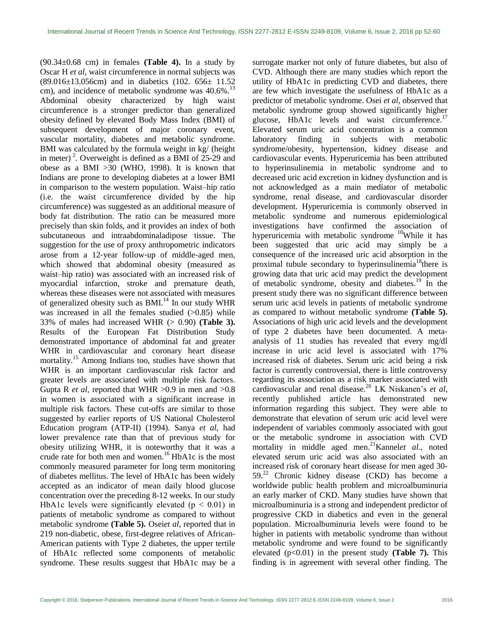$(90.34\pm0.68$  cm) in females (**Table 4**). In a study by Oscar H *et al,* waist circumference in normal subjects was (89.016±13.056cm) and in diabetics (102. 656± 11.52 cm), and incidence of metabolic syndrome was 40.6%.<sup>13</sup> Abdominal obesity characterized by high waist circumference is a stronger predictor than generalized obesity defined by elevated Body Mass Index (BMI) of subsequent development of major coronary event, vascular mortality, diabetes and metabolic syndrome. BMI was calculated by the formula weight in kg/ (height in meter)<sup>2</sup>. Overweight is defined as a BMI of  $25-29$  and obese as a BMI  $>30$  (WHO, 1998). It is known that Indians are prone to developing diabetes at a lower BMI in comparison to the western population. Waist–hip ratio (i.e. the waist circumference divided by the hip circumference) was suggested as an additional measure of body fat distribution. The ratio can be measured more precisely than skin folds, and it provides an index of both subcutaneous and intraabdominaladipose tissue. The suggestion for the use of proxy anthropometric indicators arose from a 12‐year follow‐up of middle‐aged men, which showed that abdominal obesity (measured as waist–hip ratio) was associated with an increased risk of myocardial infarction, stroke and premature death, whereas these diseases were not associated with measures of generalized obesity such as  $BML$ <sup>14</sup> In our study WHR was increased in all the females studied  $(>0.85)$  while 33% of males had increased WHR (> 0.90) **(Table 3).** Results of the European Fat Distribution Study demonstrated importance of abdominal fat and greater WHR in cardiovascular and coronary heart disease mortality.<sup>15</sup> Among Indians too, studies have shown that WHR is an important cardiovascular risk factor and greater levels are associated with multiple risk factors. Gupta R *et al*, reported that WHR >0.9 in men and >0.8 in women is associated with a significant increase in multiple risk factors. These cut-offs are similar to those suggested by earlier reports of US National Cholesterol Education program (ATP-II) (1994). Sanya *et al*, had lower prevalence rate than that of previous study for obesity utilizing WHR, it is noteworthy that it was a crude rate for both men and women.<sup>16</sup> HbA1c is the most commonly measured parameter for long term monitoring of diabetes mellitus. The level of HbA1c has been widely accepted as an indicator of mean daily blood glucose concentration over the preceding 8-12 weeks. In our study HbA1c levels were significantly elevated ( $p < 0.01$ ) in patients of metabolic syndrome as compared to without metabolic syndrome **(Table 5).** Osei*et al*, reported that in 219 non-diabetic, obese, first-degree relatives of African-American patients with Type 2 diabetes, the upper tertile of HbA1c reflected some components of metabolic syndrome. These results suggest that HbA1c may be a surrogate marker not only of future diabetes, but also of CVD. Although there are many studies which report the utility of HbA1c in predicting CVD and diabetes, there are few which investigate the usefulness of HbA1c as a predictor of metabolic syndrome. Osei *et al*, observed that metabolic syndrome group showed significantly higher glucose. HbA1c levels and waist circumference.<sup>17</sup> Elevated serum uric acid concentration is a common laboratory finding in subjects with metabolic syndrome/obesity, hypertension, kidney disease and cardiovascular events. Hyperuricemia has been attributed to hyperinsulinemia in metabolic syndrome and to decreased uric acid excretion in kidney dysfunction and is not acknowledged as a main mediator of metabolic syndrome, renal disease, and cardiovascular disorder development. Hyperuricemia is commonly observed in metabolic syndrome and numerous epidemiological investigations have confirmed the association of hyperuricemia with metabolic syndrome <sup>18</sup>While it has been suggested that uric acid may simply be a consequence of the increased uric acid absorption in the proximal tubule secondary to hyperinsulinemia<sup>18</sup> there is growing data that uric acid may predict the development of metabolic syndrome, obesity and diabetes.<sup>19</sup> In the present study there was no significant difference between serum uric acid levels in patients of metabolic syndrome as compared to without metabolic syndrome **(Table 5).** Associations of high uric acid levels and the development of type 2 diabetes have been documented. A metaanalysis of 11 studies has revealed that every mg/dl increase in uric acid level is associated with 17% increased risk of diabetes. Serum uric acid being a risk factor is currently controversial, there is little controversy regarding its association as a risk marker associated with cardiovascular and renal disease.<sup>20</sup> LK Niskanen"s *et al*, recently published article has demonstrated new information regarding this subject. They were able to demonstrate that elevation of serum uric acid level were independent of variables commonly associated with gout or the metabolic syndrome in association with CVD mortality in middle aged men.<sup>21</sup>Kannelet al., noted elevated serum uric acid was also associated with an increased risk of coronary heart disease for men aged 30-  $59.^{22}$  Chronic kidney disease (CKD) has become a worldwide public health problem and microalbuminuria an early marker of CKD. Many studies have shown that microalbuminuria is a strong and independent predictor of progressive CKD in diabetics and even in the general population. Microalbuminuria levels were found to be higher in patients with metabolic syndrome than without metabolic syndrome and were found to be significantly elevated  $(p<0.01)$  in the present study (**Table 7**). This finding is in agreement with several other finding. The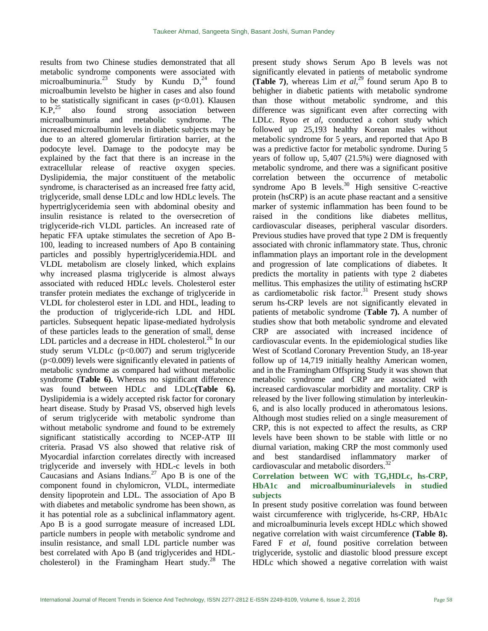results from two Chinese studies demonstrated that all metabolic syndrome components were associated with microalbuminuria.<sup>23</sup> Study by Kundu  $D<sub>1</sub><sup>24</sup>$  found microalbumin levelsto be higher in cases and also found to be statistically significant in cases  $(p<0.01)$ . Klausen  $K.P<sup>25</sup>$  also found strong association between microalbuminuria and metabolic syndrome. The increased microalbumin levels in diabetic subjects may be due to an altered glomerular firtiration barrier, at the podocyte level. Damage to the podocyte may be explained by the fact that there is an increase in the extracellular release of reactive oxygen species. Dyslipidemia, the major constituent of the metabolic syndrome, is characterised as an increased free fatty acid, triglyceride, small dense LDLc and low HDLc levels. The hypertriglyceridemia seen with abdominal obesity and insulin resistance is related to the oversecretion of triglyceride-rich VLDL particles. An increased rate of hepatic FFA uptake stimulates the secretion of Apo B-100, leading to increased numbers of Apo B containing particles and possibly hypertriglyceridemia.HDL and VLDL metabolism are closely linked, which explains why increased plasma triglyceride is almost always associated with reduced HDLc levels. Cholesterol ester transfer protein mediates the exchange of triglyceride in VLDL for cholesterol ester in LDL and HDL, leading to the production of triglyceride-rich LDL and HDL particles. Subsequent hepatic lipase-mediated hydrolysis of these particles leads to the generation of small, dense LDL particles and a decrease in HDL cholesterol. $^{26}$  In our study serum VLDLc (p<0.007) and serum triglyceride (p<0.009) levels were significantly elevated in patients of metabolic syndrome as compared had without metabolic syndrome **(Table 6).** Whereas no significant difference was found between HDLc and LDLc**(Table 6).** Dyslipidemia is a widely accepted risk factor for coronary heart disease. Study by Prasad VS, observed high levels of serum triglyceride with metabolic syndrome than without metabolic syndrome and found to be extremely significant statistically according to NCEP-ATP III criteria. Prasad VS also showed that relative risk of Myocardial infarction correlates directly with increased triglyceride and inversely with HDL-c levels in both Caucasians and Asians Indians.<sup>27</sup> Apo B is one of the component found in chylomicron, VLDL, intermediate density lipoprotein and LDL. The association of Apo B with diabetes and metabolic syndrome has been shown, as it has potential role as a subclinical inflammatory agent. Apo B is a good surrogate measure of increased LDL particle numbers in people with metabolic syndrome and insulin resistance, and small LDL particle number was best correlated with Apo B (and triglycerides and HDLcholesterol) in the Framingham Heart study. $^{28}$  The

present study shows Serum Apo B levels was not significantly elevated in patients of metabolic syndrome **(Table 7)**, whereas Lim *et al*, <sup>29</sup> found serum Apo B to behigher in diabetic patients with metabolic syndrome than those without metabolic syndrome, and this difference was significant even after correcting with LDLc. Ryoo *et al*, conducted a cohort study which followed up 25,193 healthy Korean males without metabolic syndrome for 5 years, and reported that Apo B was a predictive factor for metabolic syndrome. During 5 years of follow up, 5,407 (21.5%) were diagnosed with metabolic syndrome, and there was a significant positive correlation between the occurrence of metabolic syndrome Apo B levels.<sup>30</sup> High sensitive C-reactive protein (hsCRP) is an acute phase reactant and a sensitive marker of systemic inflammation has been found to be raised in the conditions like diabetes mellitus, cardiovascular diseases, peripheral vascular disorders. Previous studies have proved that type 2 DM is frequently associated with chronic inflammatory state. Thus, chronic inflammation plays an important role in the development and progression of late complications of diabetes. It predicts the mortality in patients with type 2 diabetes mellitus. This emphasizes the utility of estimating hsCRP as cardiometabolic risk factor. $31$  Present study shows serum hs-CRP levels are not significantly elevated in patients of metabolic syndrome (**Table 7).** A number of studies show that both metabolic syndrome and elevated CRP are associated with increased incidence of cardiovascular events. In the epidemiological studies like West of Scotland Coronary Prevention Study, an 18-year follow up of 14,719 initially healthy American women, and in the Framingham Offspring Study it was shown that metabolic syndrome and CRP are associated with increased cardiovascular morbidity and mortality. CRP is released by the liver following stimulation by interleukin-6, and is also locally produced in atheromatous lesions. Although most studies relied on a single measurement of CRP, this is not expected to affect the results, as CRP levels have been shown to be stable with little or no diurnal variation, making CRP the most commonly used and best standardised inflammatory marker of cardiovascular and metabolic disorders.<sup>32</sup>

### **Correlation between WC with TG,HDLc, hs-CRP, HbA1c and microalbuminurialevels in studied subjects**

In present study positive correlation was found between waist circumference with triglyceride, hs-CRP, HbA1c and microalbuminuria levels except HDLc which showed negative correlation with waist circumference **(Table 8).** Fared F *et al*, found positive correlation between triglyceride, systolic and diastolic blood pressure except HDLc which showed a negative correlation with waist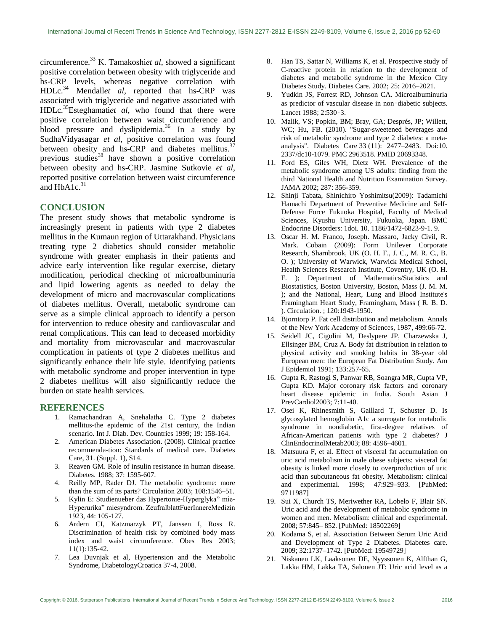circumference.<sup>33</sup> K. Tamakoshi*et al*, showed a significant positive correlation between obesity with triglyceride and hs-CRP levels, whereas negative correlation with HDLc.<sup>34</sup> Mendall*et al*, reported that hs-CRP was associated with triglyceride and negative associated with HDLc.<sup>35</sup>Esteghamati*et al*, who found that there were positive correlation between waist circumference and blood pressure and dyslipidemia.<sup>36</sup> In a study by SudhaVidyasagar *et al*, positive correlation was found between obesity and hs-CRP and diabetes mellitus.<sup>37</sup> previous studies<sup>38</sup> have shown a positive correlation between obesity and hs-CRP. Jasmine Sutkovie *et al*, reported positive correlation between waist circumference and  $HbA1c.<sup>31</sup>$ 

### **CONCLUSION**

The present study shows that metabolic syndrome is increasingly present in patients with type 2 diabetes mellitus in the Kumaun region of Uttarakhand. Physicians treating type 2 diabetics should consider metabolic syndrome with greater emphasis in their patients and advice early intervention like regular exercise, dietary modification, periodical checking of microalbuminuria and lipid lowering agents as needed to delay the development of micro and macrovascular complications of diabetes mellitus. Overall, metabolic syndrome can serve as a simple clinical approach to identify a person for intervention to reduce obesity and cardiovascular and renal complications. This can lead to deceased morbidity and mortality from microvascular and macrovascular complication in patients of type 2 diabetes mellitus and significantly enhance their life style. Identifying patients with metabolic syndrome and proper intervention in type 2 diabetes mellitus will also significantly reduce the burden on state health services.

#### **REFERENCES**

- 1. Ramachandran A, Snehalatha C. Type 2 diabetes mellitus-the epidemic of the 21st century, the Indian scenario. Int J. Diab. Dev. Countries 1999; 19: 158-164.
- 2. American Diabetes Association. (2008). Clinical practice recommenda-tion: Standards of medical care. Diabetes Care, 31. (Suppl. 1), S14.
- 3. Reaven GM. Role of insulin resistance in human disease. Diabetes. 1988; 37: 1595-607.
- 4. Reilly MP, Rader DJ. The metabolic syndrome: more than the sum of its parts? Circulation 2003; 108:1546–51.
- 5. Kylin E: Studienueber das Hypertonie-Hyperglyka" mie-Hyperurika" miesyndrom. ZeufralblattFuerInnereMedizin 1923, 44: 105-127.
- 6. Ardern CI, Katzmarzyk PT, Janssen I, Ross R. Discrimination of health risk by combined body mass index and waist circumference. Obes Res 2003; 11(1):135-42.
- 7. Lea Duvnjak et al, Hypertension and the Metabolic Syndrome, DiabetologyCroatica 37-4, 2008.
- 8. Han TS, Sattar N, Williams K, et al. Prospective study of C-reactive protein in relation to the development of diabetes and metabolic syndrome in the Mexico City Diabetes Study. Diabetes Care. 2002; 25: 2016–2021.
- 9. Yudkin JS, Forrest RD, Johnson CA. Microalbuminuria as predictor of vascular disease in non‑diabetic subjects. Lancet 1988; 2:530‑3.
- 10. Malik, VS; Popkin, BM; Bray, GA; Després, JP; Willett, WC; Hu, FB. (2010). ["Sugar-sweetened beverages and](http://care.diabetesjournals.org/content/33/11/2477.long)  [risk of metabolic syndrome and type 2 diabetes: a meta](http://care.diabetesjournals.org/content/33/11/2477.long)[analysis".](http://care.diabetesjournals.org/content/33/11/2477.long) Diabetes Care 33 (11): 2477–2483. [Doi](https://en.wikipedia.org/wiki/Digital_object_identifier)[:10.](https://dx.doi.org/10.2337%2Fdc10-1079)  [2337/dc10-1079.](https://dx.doi.org/10.2337%2Fdc10-1079) [PMC](https://en.wikipedia.org/wiki/PubMed_Central) [2963518.](https://www.ncbi.nlm.nih.gov/pmc/articles/PMC2963518) [PMID](https://en.wikipedia.org/wiki/PubMed_Identifier) [20693348.](https://www.ncbi.nlm.nih.gov/pubmed/20693348)
- 11. Ford ES, Giles WH, Dietz WH. Prevalence of the metabolic syndrome among US adults: finding from the third National Health and Nutrition Examination Survey. JAMA 2002; 287: 356-359.
- 12. Shinji Tabata, Shinichiro Yoshimitsu(2009): Tadamichi Hamachi Department of Preventive Medicine and Self-Defense Force Fukuoka Hospital, Faculty of Medical Sciences, Kyushu University, Fukuoka, Japan. BMC Endocrine Disorders: 1doi. 10. 1186/1472-6823-9-1. 9.
- 13. Oscar H. M. Franco, Joseph. Massaro, Jacky Civil, R. Mark. Cobain (2009): Form Unilever Corporate Research, Sharnbrook, UK (O. H. F., J. C., M. R. C., B. O. ); University of Warwick, Warwick Medical School, Health Sciences Research Institute, Coventry, UK (O. H. F. ); Department of Mathematics/Statistics and Biostatistics, Boston University, Boston, Mass (J. M. M. ); and the National, Heart, Lung and Blood Institute's Framingham Heart Study, Framingham, Mass ( R. B. D. ). Circulation. ; 120:1943-1950.
- 14. Bjorntorp P. Fat cell distribution and metabolism. Annals of the New York Academy of Sciences, 1987, 499:66‐72.
- 15. Seidell JC, Cigolini M, Deslypere JP, Charzewska J, Ellsinger BM, Cruz A. Body fat distribution in relation to physical activity and smoking habits in 38-year old European men: the European Fat Distribution Study. Am J Epidemiol 1991; 133:257-65.
- 16. Gupta R, Rastogi S, Panwar RB, Soangra MR, Gupta VP, Gupta KD. Major coronary risk factors and coronary heart disease epidemic in India. South Asian J PrevCardiol2003; 7:11-40.
- 17. Osei K, Rhinesmith S, Gaillard T, Schuster D. Is glycosylated hemoglobin A1c a surrogate for metabolic syndrome in nondiabetic, first-degree relatives of African-American patients with type 2 diabetes? J ClinEndocrinolMetab2003; 88: 4596–4601.
- 18. Matsuura F, et al. Effect of visceral fat accumulation on uric acid metabolism in male obese subjects: visceral fat obesity is linked more closely to overproduction of uric acid than subcutaneous fat obesity. Metabolism: clinical and experimental. 1998; 47:929–933. [PubMed: 9711987]
- 19. Sui X, Church TS, Meriwether RA, Lobelo F, Blair SN. Uric acid and the development of metabolic syndrome in women and men. Metabolism: clinical and experimental. 2008; 57:845– 852. [PubMed: 18502269]
- 20. Kodama S, et al. Association Between Serum Uric Acid and Development of Type 2 Diabetes. Diabetes care. 2009; 32:1737–1742. [PubMed: 19549729]
- 21. Niskanen LK, Laaksonen DE, Nyyssonen K, Alfthan G, Lakka HM, Lakka TA, Salonen JT: Uric acid level as a